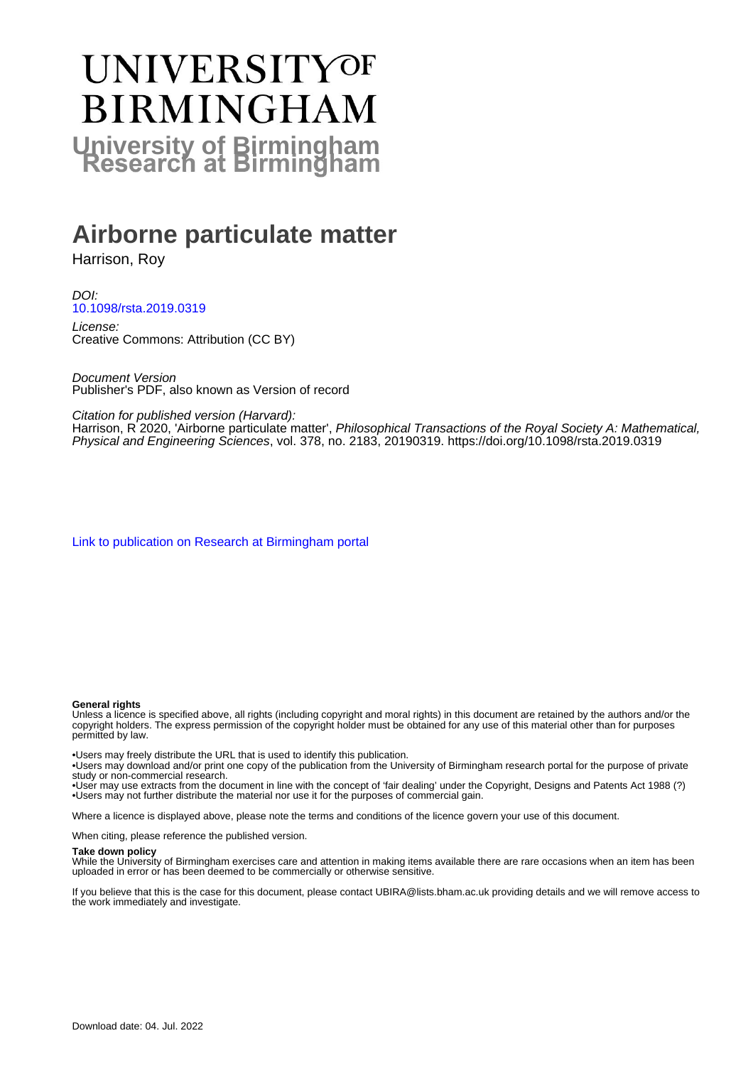# **UNIVERSITYOF BIRMINGHAM University of Birmingham**

## **Airborne particulate matter**

Harrison, Roy

DOI: [10.1098/rsta.2019.0319](https://doi.org/10.1098/rsta.2019.0319)

License: Creative Commons: Attribution (CC BY)

Document Version Publisher's PDF, also known as Version of record

Citation for published version (Harvard):

Harrison, R'2020, 'Airborne particulate matter', Philosophical Transactions of the Royal Society A: Mathematical, Physical and Engineering Sciences, vol. 378, no. 2183, 20190319. <https://doi.org/10.1098/rsta.2019.0319>

[Link to publication on Research at Birmingham portal](https://birmingham.elsevierpure.com/en/publications/43b00c36-a792-4df8-8421-a69b8ff727e4)

#### **General rights**

Unless a licence is specified above, all rights (including copyright and moral rights) in this document are retained by the authors and/or the copyright holders. The express permission of the copyright holder must be obtained for any use of this material other than for purposes permitted by law.

• Users may freely distribute the URL that is used to identify this publication.

• Users may download and/or print one copy of the publication from the University of Birmingham research portal for the purpose of private study or non-commercial research.

• User may use extracts from the document in line with the concept of 'fair dealing' under the Copyright, Designs and Patents Act 1988 (?) • Users may not further distribute the material nor use it for the purposes of commercial gain.

Where a licence is displayed above, please note the terms and conditions of the licence govern your use of this document.

When citing, please reference the published version.

#### **Take down policy**

While the University of Birmingham exercises care and attention in making items available there are rare occasions when an item has been uploaded in error or has been deemed to be commercially or otherwise sensitive.

If you believe that this is the case for this document, please contact UBIRA@lists.bham.ac.uk providing details and we will remove access to the work immediately and investigate.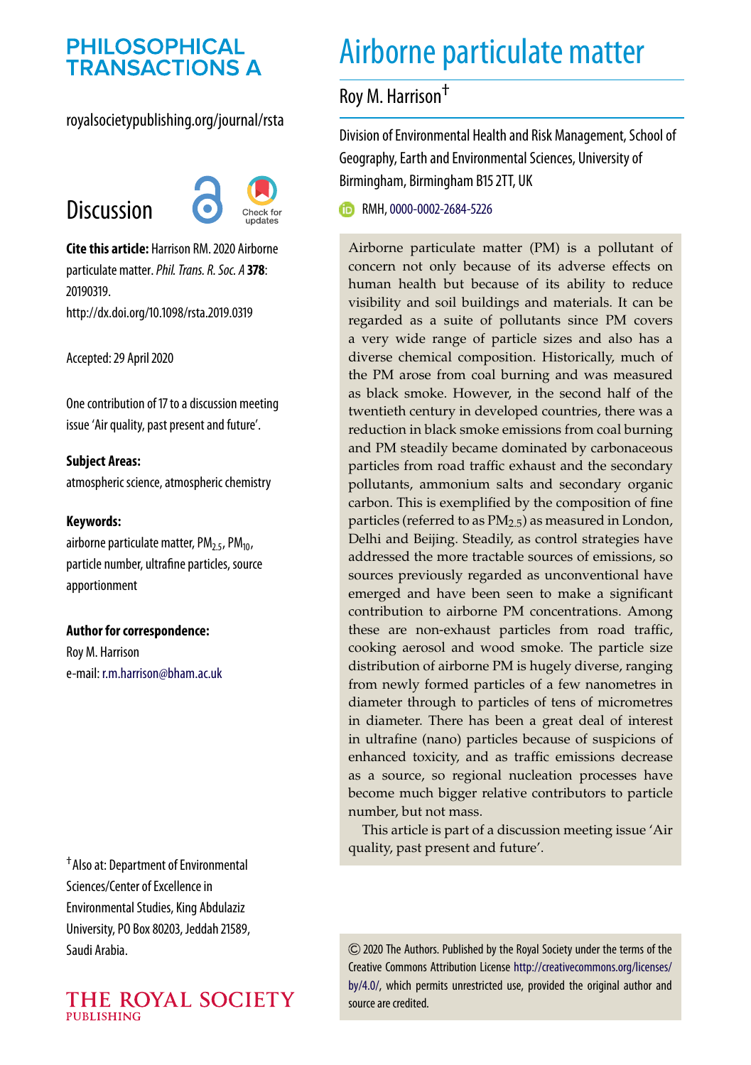### **PHILOSOPHICAL TRANSACTIONS A**

royalsocietypublishing.org/journal/rsta

# **Discussion**



**Cite this article:** Harrison RM. 2020 Airborne particulate matter.*Phil. Trans. R. Soc. A* **378**: 20190319. http://dx.doi.org/10.1098/rsta.2019.0319

Accepted: 29 April 2020

One contribution of 17 to a discussion meeting issue ['Air quality, past present and future'.](http://dx.doi.org/10.1098/rsta/378/2183)

**Subject Areas:** atmospheric science, atmospheric chemistry

#### **Keywords:**

airborne particulate matter,  $PM<sub>2.5</sub>$ ,  $PM<sub>10</sub>$ , particle number, ultrafine particles, source apportionment

**Author for correspondence:**

Roy M. Harrison e-mail: [r.m.harrison@bham.ac.uk](mailto:r.m.harrison@bham.ac.uk)

†Also at: Department of Environmental Sciences/Center of Excellence in Environmental Studies, King Abdulaziz University, PO Box 80203, Jeddah 21589, Saudi Arabia.

#### THE ROYAL SOCIETY **PUBLISHING**

# Airborne particulate matter

### Roy M. Harrison†

Division of Environmental Health and Risk Management, School of Geography, Earth and Environmental Sciences, University of Birmingham, Birmingham B15 2TT, UK

RMH, [0000-0002-2684-5226](http://orcid.org/0000-0002-2684-5226)

Airborne particulate matter (PM) is a pollutant of concern not only because of its adverse effects on human health but because of its ability to reduce visibility and soil buildings and materials. It can be regarded as a suite of pollutants since PM covers a very wide range of particle sizes and also has a diverse chemical composition. Historically, much of the PM arose from coal burning and was measured as black smoke. However, in the second half of the twentieth century in developed countries, there was a reduction in black smoke emissions from coal burning and PM steadily became dominated by carbonaceous particles from road traffic exhaust and the secondary pollutants, ammonium salts and secondary organic carbon. This is exemplified by the composition of fine particles (referred to as  $PM<sub>2.5</sub>$ ) as measured in London, Delhi and Beijing. Steadily, as control strategies have addressed the more tractable sources of emissions, so sources previously regarded as unconventional have emerged and have been seen to make a significant contribution to airborne PM concentrations. Among these are non-exhaust particles from road traffic, cooking aerosol and wood smoke. The particle size distribution of airborne PM is hugely diverse, ranging from newly formed particles of a few nanometres in diameter through to particles of tens of micrometres in diameter. There has been a great deal of interest in ultrafine (nano) particles because of suspicions of enhanced toxicity, and as traffic emissions decrease as a source, so regional nucleation processes have become much bigger relative contributors to particle number, but not mass.

This article is part of a discussion meeting issue 'Air quality, past present and future'.

2020 The Authors. Published by the Royal Society under the terms of the Creative Commons Attribution License [http://creativecommons.org/licenses/](http://creativecommons.org/licenses/by/4.0/) [by/4.0/,](http://creativecommons.org/licenses/by/4.0/) which permits unrestricted use, provided the original author and source are credited.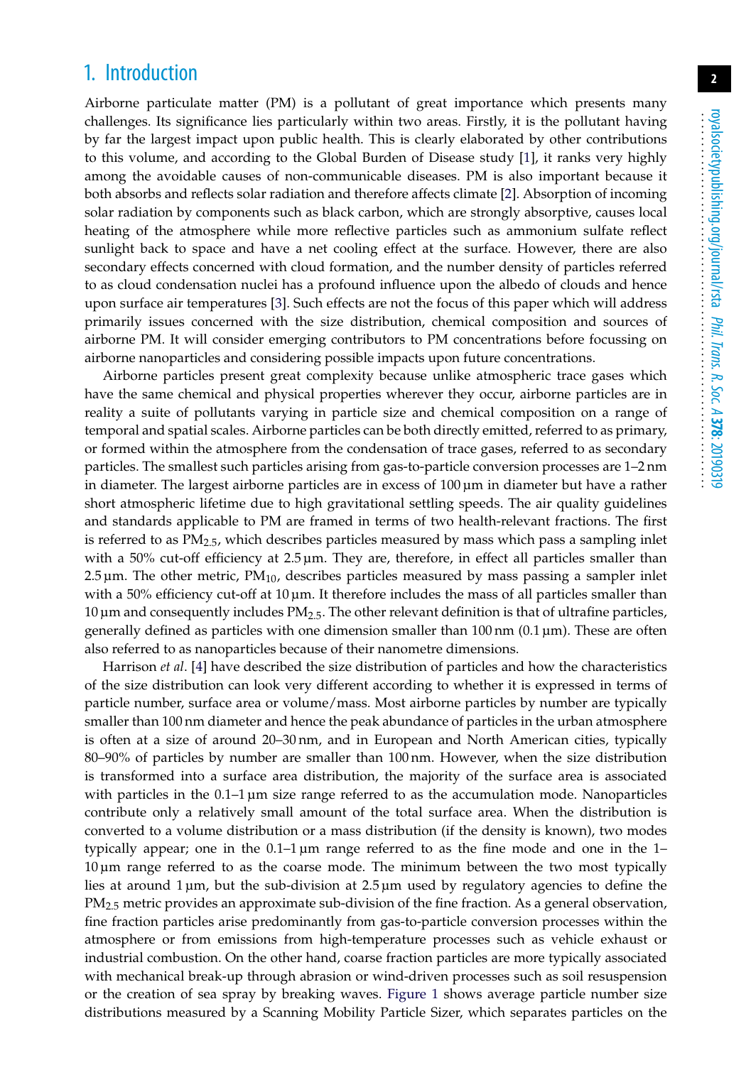#### 1. Introduction

Airborne particulate matter (PM) is a pollutant of great importance which presents many challenges. Its significance lies particularly within two areas. Firstly, it is the pollutant having by far the largest impact upon public health. This is clearly elaborated by other contributions to this volume, and according to the Global Burden of Disease study [\[1\]](#page-10-0), it ranks very highly among the avoidable causes of non-communicable diseases. PM is also important because it both absorbs and reflects solar radiation and therefore affects climate [\[2\]](#page-10-1). Absorption of incoming solar radiation by components such as black carbon, which are strongly absorptive, causes local heating of the atmosphere while more reflective particles such as ammonium sulfate reflect sunlight back to space and have a net cooling effect at the surface. However, there are also secondary effects concerned with cloud formation, and the number density of particles referred to as cloud condensation nuclei has a profound influence upon the albedo of clouds and hence upon surface air temperatures [\[3\]](#page-10-2). Such effects are not the focus of this paper which will address primarily issues concerned with the size distribution, chemical composition and sources of airborne PM. It will consider emerging contributors to PM concentrations before focussing on airborne nanoparticles and considering possible impacts upon future concentrations.

Airborne particles present great complexity because unlike atmospheric trace gases which have the same chemical and physical properties wherever they occur, airborne particles are in reality a suite of pollutants varying in particle size and chemical composition on a range of temporal and spatial scales. Airborne particles can be both directly emitted, referred to as primary, or formed within the atmosphere from the condensation of trace gases, referred to as secondary particles. The smallest such particles arising from gas-to-particle conversion processes are 1–2 nm in diameter. The largest airborne particles are in excess of 100 µm in diameter but have a rather short atmospheric lifetime due to high gravitational settling speeds. The air quality guidelines and standards applicable to PM are framed in terms of two health-relevant fractions. The first is referred to as  $PM<sub>2.5</sub>$ , which describes particles measured by mass which pass a sampling inlet with a 50% cut-off efficiency at 2.5 µm. They are, therefore, in effect all particles smaller than 2.5  $\mu$ m. The other metric, PM<sub>10</sub>, describes particles measured by mass passing a sampler inlet with a 50% efficiency cut-off at 10 µm. It therefore includes the mass of all particles smaller than 10  $\mu$ m and consequently includes  $PM_{2.5}$ . The other relevant definition is that of ultrafine particles, generally defined as particles with one dimension smaller than  $100 \text{ nm}$   $(0.1 \text{ µm})$ . These are often also referred to as nanoparticles because of their nanometre dimensions.

Harrison *et al*. [\[4\]](#page-11-0) have described the size distribution of particles and how the characteristics of the size distribution can look very different according to whether it is expressed in terms of particle number, surface area or volume/mass. Most airborne particles by number are typically smaller than 100 nm diameter and hence the peak abundance of particles in the urban atmosphere is often at a size of around 20–30 nm, and in European and North American cities, typically 80–90% of particles by number are smaller than 100 nm. However, when the size distribution is transformed into a surface area distribution, the majority of the surface area is associated with particles in the 0.1–1 µm size range referred to as the accumulation mode. Nanoparticles contribute only a relatively small amount of the total surface area. When the distribution is converted to a volume distribution or a mass distribution (if the density is known), two modes typically appear; one in the  $0.1-1 \,\mu m$  range referred to as the fine mode and one in the 1-10 µm range referred to as the coarse mode. The minimum between the two most typically lies at around  $1 \mu m$ , but the sub-division at  $2.5 \mu m$  used by regulatory agencies to define the  $PM_{2.5}$  metric provides an approximate sub-division of the fine fraction. As a general observation, fine fraction particles arise predominantly from gas-to-particle conversion processes within the atmosphere or from emissions from high-temperature processes such as vehicle exhaust or industrial combustion. On the other hand, coarse fraction particles are more typically associated with mechanical break-up through abrasion or wind-driven processes such as soil resuspension or the creation of sea spray by breaking waves. [Figure 1](#page-3-0) shows average particle number size distributions measured by a Scanning Mobility Particle Sizer, which separates particles on the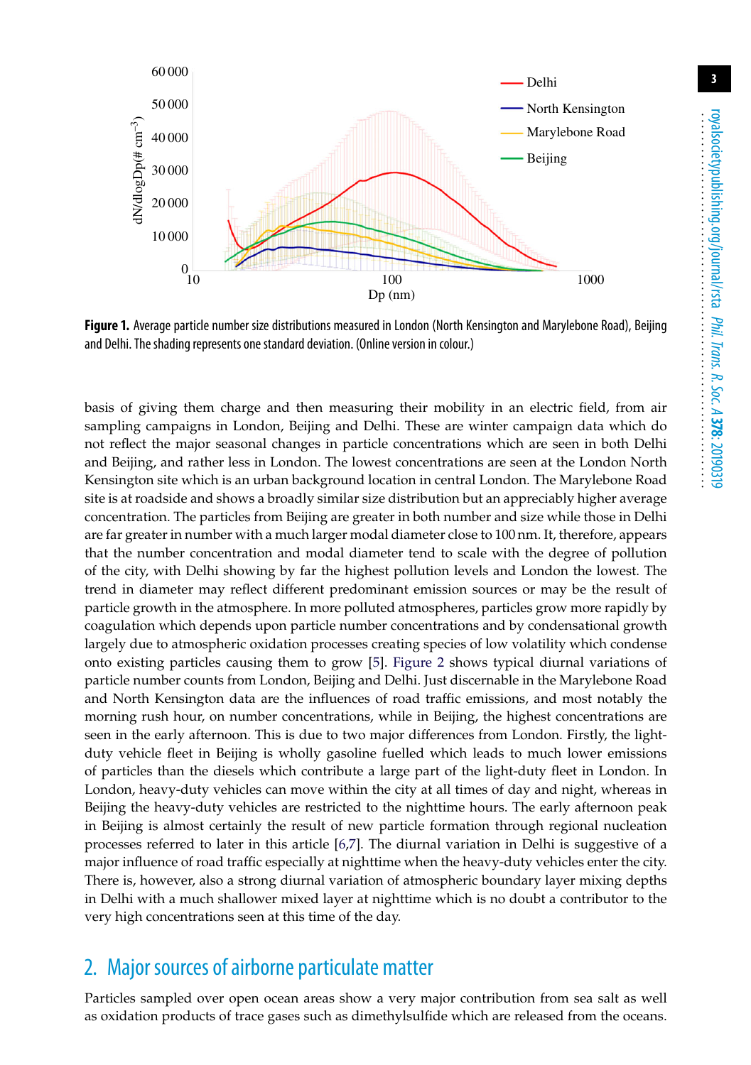

<span id="page-3-0"></span>**Figure 1.** Average particle number size distributions measured in London (North Kensington and Marylebone Road), Beijing and Delhi. The shading represents one standard deviation. (Online version in colour.)

basis of giving them charge and then measuring their mobility in an electric field, from air sampling campaigns in London, Beijing and Delhi. These are winter campaign data which do not reflect the major seasonal changes in particle concentrations which are seen in both Delhi and Beijing, and rather less in London. The lowest concentrations are seen at the London North Kensington site which is an urban background location in central London. The Marylebone Road site is at roadside and shows a broadly similar size distribution but an appreciably higher average concentration. The particles from Beijing are greater in both number and size while those in Delhi are far greater in number with a much larger modal diameter close to 100 nm. It, therefore, appears that the number concentration and modal diameter tend to scale with the degree of pollution of the city, with Delhi showing by far the highest pollution levels and London the lowest. The trend in diameter may reflect different predominant emission sources or may be the result of particle growth in the atmosphere. In more polluted atmospheres, particles grow more rapidly by coagulation which depends upon particle number concentrations and by condensational growth largely due to atmospheric oxidation processes creating species of low volatility which condense onto existing particles causing them to grow [\[5\]](#page-11-1). [Figure 2](#page-4-0) shows typical diurnal variations of particle number counts from London, Beijing and Delhi. Just discernable in the Marylebone Road and North Kensington data are the influences of road traffic emissions, and most notably the morning rush hour, on number concentrations, while in Beijing, the highest concentrations are seen in the early afternoon. This is due to two major differences from London. Firstly, the lightduty vehicle fleet in Beijing is wholly gasoline fuelled which leads to much lower emissions of particles than the diesels which contribute a large part of the light-duty fleet in London. In London, heavy-duty vehicles can move within the city at all times of day and night, whereas in Beijing the heavy-duty vehicles are restricted to the nighttime hours. The early afternoon peak in Beijing is almost certainly the result of new particle formation through regional nucleation processes referred to later in this article [\[6](#page-11-2)[,7\]](#page-11-3). The diurnal variation in Delhi is suggestive of a major influence of road traffic especially at nighttime when the heavy-duty vehicles enter the city. There is, however, also a strong diurnal variation of atmospheric boundary layer mixing depths in Delhi with a much shallower mixed layer at nighttime which is no doubt a contributor to the very high concentrations seen at this time of the day.

### 2. Major sources of airborne particulate matter

Particles sampled over open ocean areas show a very major contribution from sea salt as well as oxidation products of trace gases such as dimethylsulfide which are released from the oceans.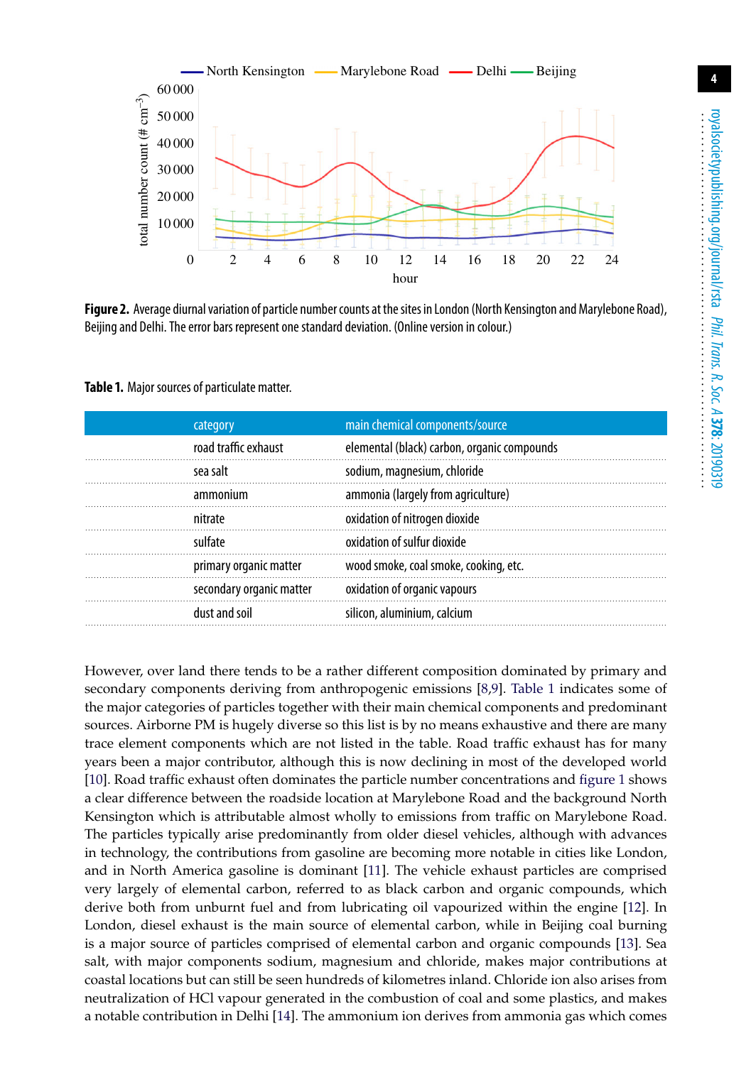

<span id="page-4-0"></span>Figure 2. Average diurnal variation of particle number counts at the sites in London (North Kensington and Marylebone Road), Beijing and Delhi. The error bars represent one standard deviation. (Online version in colour.)

<span id="page-4-1"></span>

| category                 | main chemical components/source             |
|--------------------------|---------------------------------------------|
| road traffic exhaust     | elemental (black) carbon, organic compounds |
| sea salt                 | sodium, magnesium, chloride                 |
| ammonium                 | ammonia (largely from agriculture)          |
| nitrate                  | oxidation of nitrogen dioxide               |
| sulfate                  | oxidation of sulfur dioxide                 |
| primary organic matter   | wood smoke, coal smoke, cooking, etc.       |
| secondary organic matter | oxidation of organic vapours                |
| dust and soil            | silicon, aluminium, calcium                 |
|                          |                                             |

**Table 1.** Major sources of particulate matter.

However, over land there tends to be a rather different composition dominated by primary and secondary components deriving from anthropogenic emissions [\[8,](#page-11-4)[9\]](#page-11-5). [Table 1](#page-4-1) indicates some of the major categories of particles together with their main chemical components and predominant sources. Airborne PM is hugely diverse so this list is by no means exhaustive and there are many trace element components which are not listed in the table. Road traffic exhaust has for many years been a major contributor, although this is now declining in most of the developed world [\[10\]](#page-11-6). Road traffic exhaust often dominates the particle number concentrations and [figure 1](#page-3-0) shows a clear difference between the roadside location at Marylebone Road and the background North Kensington which is attributable almost wholly to emissions from traffic on Marylebone Road. The particles typically arise predominantly from older diesel vehicles, although with advances in technology, the contributions from gasoline are becoming more notable in cities like London, and in North America gasoline is dominant [\[11\]](#page-11-7). The vehicle exhaust particles are comprised very largely of elemental carbon, referred to as black carbon and organic compounds, which derive both from unburnt fuel and from lubricating oil vapourized within the engine [\[12\]](#page-11-8). In London, diesel exhaust is the main source of elemental carbon, while in Beijing coal burning is a major source of particles comprised of elemental carbon and organic compounds [\[13\]](#page-11-9). Sea salt, with major components sodium, magnesium and chloride, makes major contributions at coastal locations but can still be seen hundreds of kilometres inland. Chloride ion also arises from neutralization of HCl vapour generated in the combustion of coal and some plastics, and makes a notable contribution in Delhi [\[14\]](#page-11-10). The ammonium ion derives from ammonia gas which comes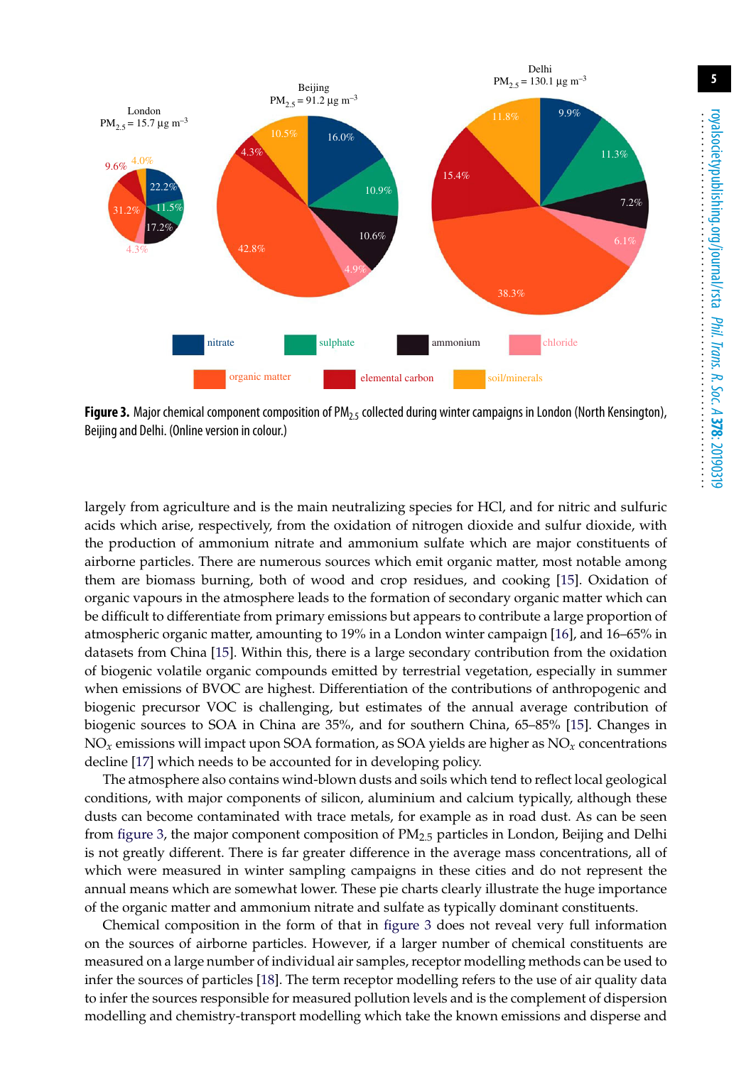

<span id="page-5-0"></span>Figure 3. Major chemical component composition of PM<sub>2.5</sub> collected during winter campaigns in London (North Kensington), Beijing and Delhi. (Online version in colour.)

largely from agriculture and is the main neutralizing species for HCl, and for nitric and sulfuric acids which arise, respectively, from the oxidation of nitrogen dioxide and sulfur dioxide, with the production of ammonium nitrate and ammonium sulfate which are major constituents of airborne particles. There are numerous sources which emit organic matter, most notable among them are biomass burning, both of wood and crop residues, and cooking [\[15\]](#page-11-11). Oxidation of organic vapours in the atmosphere leads to the formation of secondary organic matter which can be difficult to differentiate from primary emissions but appears to contribute a large proportion of atmospheric organic matter, amounting to 19% in a London winter campaign [\[16\]](#page-11-12), and 16–65% in datasets from China [\[15\]](#page-11-11). Within this, there is a large secondary contribution from the oxidation of biogenic volatile organic compounds emitted by terrestrial vegetation, especially in summer when emissions of BVOC are highest. Differentiation of the contributions of anthropogenic and biogenic precursor VOC is challenging, but estimates of the annual average contribution of biogenic sources to SOA in China are 35%, and for southern China, 65–85% [\[15\]](#page-11-11). Changes in NO*x* emissions will impact upon SOA formation, as SOA yields are higher as NO*x* concentrations decline [\[17\]](#page-11-13) which needs to be accounted for in developing policy.

The atmosphere also contains wind-blown dusts and soils which tend to reflect local geological conditions, with major components of silicon, aluminium and calcium typically, although these dusts can become contaminated with trace metals, for example as in road dust. As can be seen from [figure 3,](#page-5-0) the major component composition of  $PM_{2.5}$  particles in London, Beijing and Delhi is not greatly different. There is far greater difference in the average mass concentrations, all of which were measured in winter sampling campaigns in these cities and do not represent the annual means which are somewhat lower. These pie charts clearly illustrate the huge importance of the organic matter and ammonium nitrate and sulfate as typically dominant constituents.

Chemical composition in the form of that in [figure 3](#page-5-0) does not reveal very full information on the sources of airborne particles. However, if a larger number of chemical constituents are measured on a large number of individual air samples, receptor modelling methods can be used to infer the sources of particles [\[18\]](#page-11-14). The term receptor modelling refers to the use of air quality data to infer the sources responsible for measured pollution levels and is the complement of dispersion modelling and chemistry-transport modelling which take the known emissions and disperse and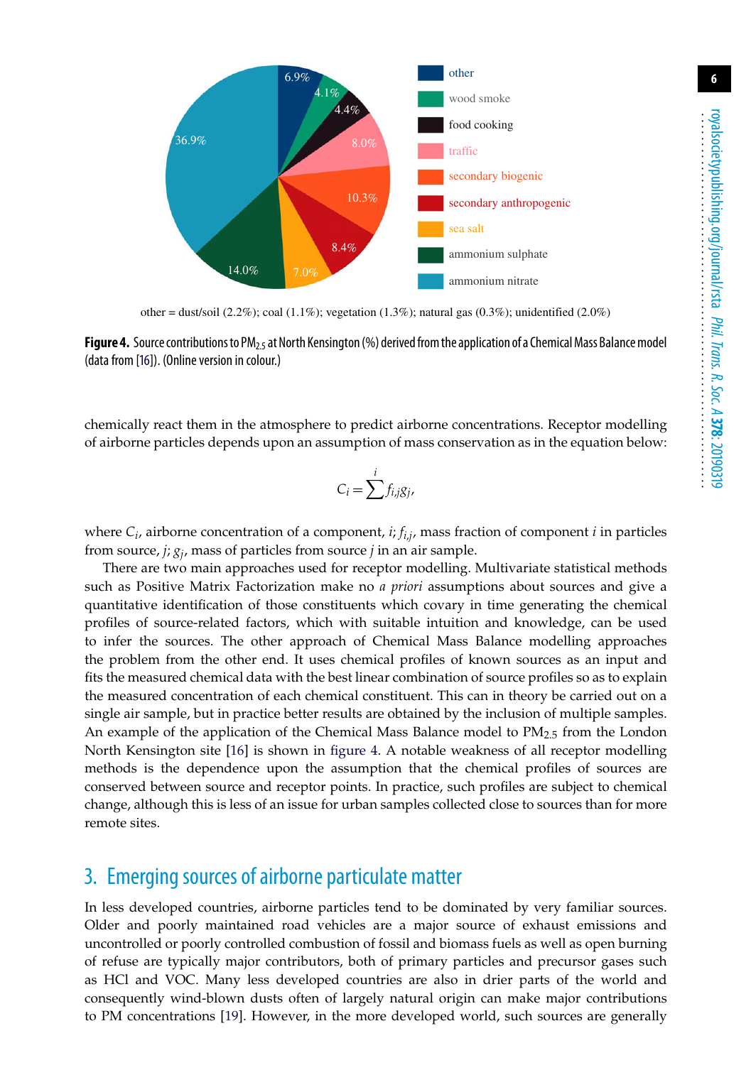

<span id="page-6-0"></span>other = dust/soil  $(2.2\%)$ ; coal  $(1.1\%)$ ; vegetation  $(1.3\%)$ ; natural gas  $(0.3\%)$ ; unidentified  $(2.0\%)$ 



chemically react them in the atmosphere to predict airborne concentrations. Receptor modelling of airborne particles depends upon an assumption of mass conservation as in the equation below:

$$
C_i = \sum_{j}^{i} f_{i,j} g_j,
$$

where *Ci*, airborne concentration of a component, *i*; *fi*,*j*, mass fraction of component *i* in particles from source, *j*; *gj*, mass of particles from source *j* in an air sample.

There are two main approaches used for receptor modelling. Multivariate statistical methods such as Positive Matrix Factorization make no *a priori* assumptions about sources and give a quantitative identification of those constituents which covary in time generating the chemical profiles of source-related factors, which with suitable intuition and knowledge, can be used to infer the sources. The other approach of Chemical Mass Balance modelling approaches the problem from the other end. It uses chemical profiles of known sources as an input and fits the measured chemical data with the best linear combination of source profiles so as to explain the measured concentration of each chemical constituent. This can in theory be carried out on a single air sample, but in practice better results are obtained by the inclusion of multiple samples. An example of the application of the Chemical Mass Balance model to  $PM_{2.5}$  from the London North Kensington site [\[16\]](#page-11-12) is shown in [figure 4.](#page-6-0) A notable weakness of all receptor modelling methods is the dependence upon the assumption that the chemical profiles of sources are conserved between source and receptor points. In practice, such profiles are subject to chemical change, although this is less of an issue for urban samples collected close to sources than for more remote sites.

#### 3. Emerging sources of airborne particulate matter

In less developed countries, airborne particles tend to be dominated by very familiar sources. Older and poorly maintained road vehicles are a major source of exhaust emissions and uncontrolled or poorly controlled combustion of fossil and biomass fuels as well as open burning of refuse are typically major contributors, both of primary particles and precursor gases such as HCl and VOC. Many less developed countries are also in drier parts of the world and consequently wind-blown dusts often of largely natural origin can make major contributions to PM concentrations [\[19\]](#page-11-15). However, in the more developed world, such sources are generally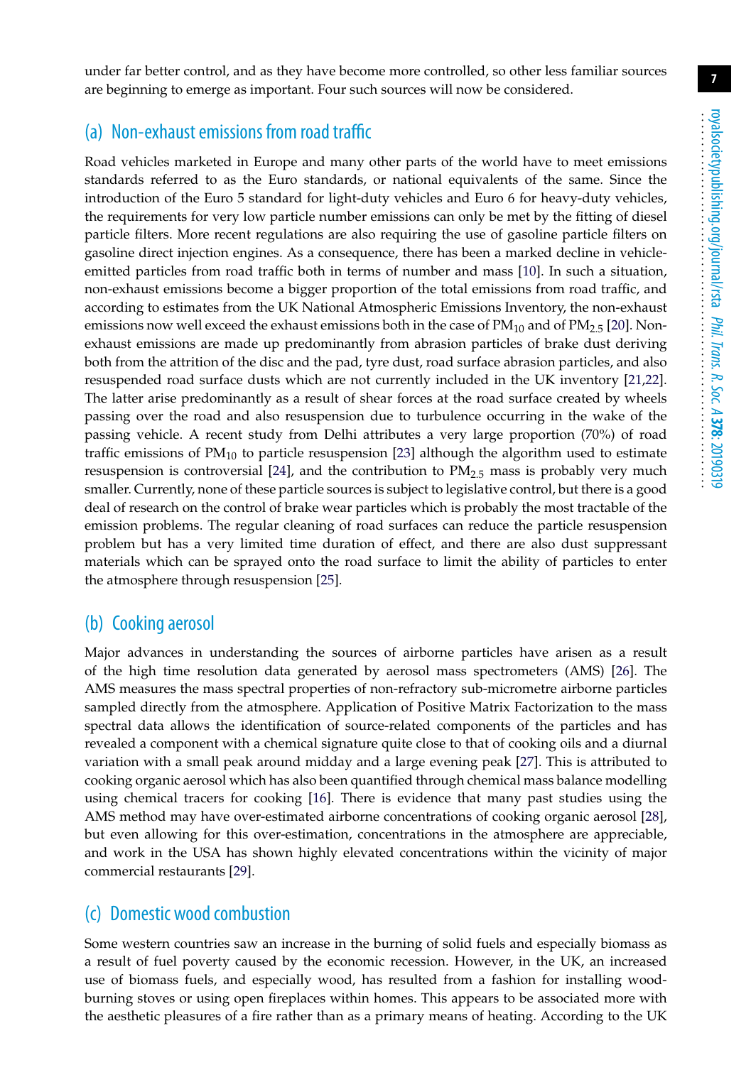under far better control, and as they have become more controlled, so other less familiar sources are beginning to emerge as important. Four such sources will now be considered.

#### (a) Non-exhaust emissions from road traffic

Road vehicles marketed in Europe and many other parts of the world have to meet emissions standards referred to as the Euro standards, or national equivalents of the same. Since the introduction of the Euro 5 standard for light-duty vehicles and Euro 6 for heavy-duty vehicles, the requirements for very low particle number emissions can only be met by the fitting of diesel particle filters. More recent regulations are also requiring the use of gasoline particle filters on gasoline direct injection engines. As a consequence, there has been a marked decline in vehicleemitted particles from road traffic both in terms of number and mass [\[10\]](#page-11-6). In such a situation, non-exhaust emissions become a bigger proportion of the total emissions from road traffic, and according to estimates from the UK National Atmospheric Emissions Inventory, the non-exhaust emissions now well exceed the exhaust emissions both in the case of  $PM_{10}$  and of  $PM_{2.5}$  [\[20\]](#page-11-16). Nonexhaust emissions are made up predominantly from abrasion particles of brake dust deriving both from the attrition of the disc and the pad, tyre dust, road surface abrasion particles, and also resuspended road surface dusts which are not currently included in the UK inventory [\[21,](#page-11-17)[22\]](#page-11-18). The latter arise predominantly as a result of shear forces at the road surface created by wheels passing over the road and also resuspension due to turbulence occurring in the wake of the passing vehicle. A recent study from Delhi attributes a very large proportion (70%) of road traffic emissions of  $PM_{10}$  to particle resuspension [\[23\]](#page-11-19) although the algorithm used to estimate resuspension is controversial [\[24\]](#page-11-20), and the contribution to  $PM_{2.5}$  mass is probably very much smaller. Currently, none of these particle sources is subject to legislative control, but there is a good deal of research on the control of brake wear particles which is probably the most tractable of the emission problems. The regular cleaning of road surfaces can reduce the particle resuspension problem but has a very limited time duration of effect, and there are also dust suppressant materials which can be sprayed onto the road surface to limit the ability of particles to enter the atmosphere through resuspension [\[25\]](#page-12-0).

#### (b) Cooking aerosol

Major advances in understanding the sources of airborne particles have arisen as a result of the high time resolution data generated by aerosol mass spectrometers (AMS) [\[26\]](#page-12-1). The AMS measures the mass spectral properties of non-refractory sub-micrometre airborne particles sampled directly from the atmosphere. Application of Positive Matrix Factorization to the mass spectral data allows the identification of source-related components of the particles and has revealed a component with a chemical signature quite close to that of cooking oils and a diurnal variation with a small peak around midday and a large evening peak [\[27\]](#page-12-2). This is attributed to cooking organic aerosol which has also been quantified through chemical mass balance modelling using chemical tracers for cooking [\[16\]](#page-11-12). There is evidence that many past studies using the AMS method may have over-estimated airborne concentrations of cooking organic aerosol [\[28\]](#page-12-3), but even allowing for this over-estimation, concentrations in the atmosphere are appreciable, and work in the USA has shown highly elevated concentrations within the vicinity of major commercial restaurants [\[29\]](#page-12-4).

#### (c) Domestic wood combustion

Some western countries saw an increase in the burning of solid fuels and especially biomass as a result of fuel poverty caused by the economic recession. However, in the UK, an increased use of biomass fuels, and especially wood, has resulted from a fashion for installing woodburning stoves or using open fireplaces within homes. This appears to be associated more with the aesthetic pleasures of a fire rather than as a primary means of heating. According to the UK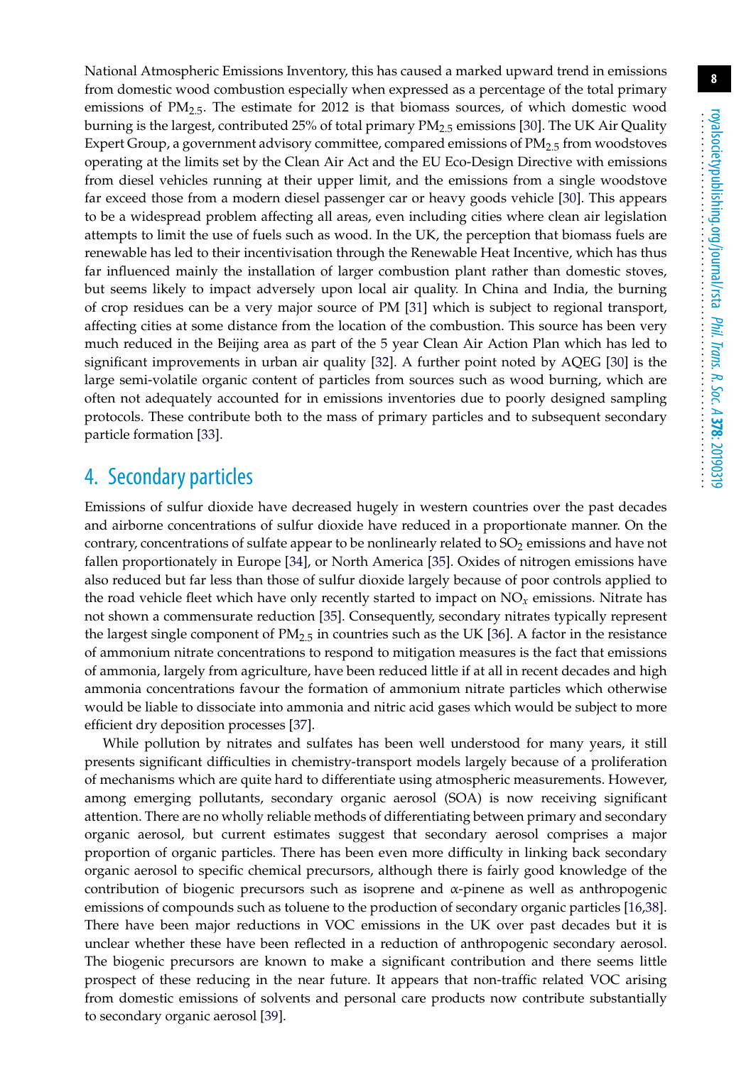National Atmospheric Emissions Inventory, this has caused a marked upward trend in emissions from domestic wood combustion especially when expressed as a percentage of the total primary emissions of  $PM_{2.5}$ . The estimate for 2012 is that biomass sources, of which domestic wood burning is the largest, contributed 25% of total primary  $PM_{2.5}$  emissions [\[30\]](#page-12-5). The UK Air Quality Expert Group, a government advisory committee, compared emissions of  $PM_{2.5}$  from woodstoves operating at the limits set by the Clean Air Act and the EU Eco-Design Directive with emissions from diesel vehicles running at their upper limit, and the emissions from a single woodstove far exceed those from a modern diesel passenger car or heavy goods vehicle [\[30\]](#page-12-5). This appears to be a widespread problem affecting all areas, even including cities where clean air legislation attempts to limit the use of fuels such as wood. In the UK, the perception that biomass fuels are renewable has led to their incentivisation through the Renewable Heat Incentive, which has thus far influenced mainly the installation of larger combustion plant rather than domestic stoves, but seems likely to impact adversely upon local air quality. In China and India, the burning of crop residues can be a very major source of PM [\[31\]](#page-12-6) which is subject to regional transport, affecting cities at some distance from the location of the combustion. This source has been very much reduced in the Beijing area as part of the 5 year Clean Air Action Plan which has led to significant improvements in urban air quality [\[32\]](#page-12-7). A further point noted by AQEG [\[30\]](#page-12-5) is the large semi-volatile organic content of particles from sources such as wood burning, which are often not adequately accounted for in emissions inventories due to poorly designed sampling protocols. These contribute both to the mass of primary particles and to subsequent secondary particle formation [\[33\]](#page-12-8).

#### 4. Secondary particles

Emissions of sulfur dioxide have decreased hugely in western countries over the past decades and airborne concentrations of sulfur dioxide have reduced in a proportionate manner. On the contrary, concentrations of sulfate appear to be nonlinearly related to  $SO<sub>2</sub>$  emissions and have not fallen proportionately in Europe [\[34\]](#page-12-9), or North America [\[35\]](#page-12-10). Oxides of nitrogen emissions have also reduced but far less than those of sulfur dioxide largely because of poor controls applied to the road vehicle fleet which have only recently started to impact on NO*x* emissions. Nitrate has not shown a commensurate reduction [\[35\]](#page-12-10). Consequently, secondary nitrates typically represent the largest single component of  $PM_{2.5}$  in countries such as the UK [\[36\]](#page-12-11). A factor in the resistance of ammonium nitrate concentrations to respond to mitigation measures is the fact that emissions of ammonia, largely from agriculture, have been reduced little if at all in recent decades and high ammonia concentrations favour the formation of ammonium nitrate particles which otherwise would be liable to dissociate into ammonia and nitric acid gases which would be subject to more efficient dry deposition processes [\[37\]](#page-12-12).

While pollution by nitrates and sulfates has been well understood for many years, it still presents significant difficulties in chemistry-transport models largely because of a proliferation of mechanisms which are quite hard to differentiate using atmospheric measurements. However, among emerging pollutants, secondary organic aerosol (SOA) is now receiving significant attention. There are no wholly reliable methods of differentiating between primary and secondary organic aerosol, but current estimates suggest that secondary aerosol comprises a major proportion of organic particles. There has been even more difficulty in linking back secondary organic aerosol to specific chemical precursors, although there is fairly good knowledge of the contribution of biogenic precursors such as isoprene and  $\alpha$ -pinene as well as anthropogenic emissions of compounds such as toluene to the production of secondary organic particles [\[16,](#page-11-12)[38\]](#page-12-13). There have been major reductions in VOC emissions in the UK over past decades but it is unclear whether these have been reflected in a reduction of anthropogenic secondary aerosol. The biogenic precursors are known to make a significant contribution and there seems little prospect of these reducing in the near future. It appears that non-traffic related VOC arising from domestic emissions of solvents and personal care products now contribute substantially to secondary organic aerosol [\[39\]](#page-12-14).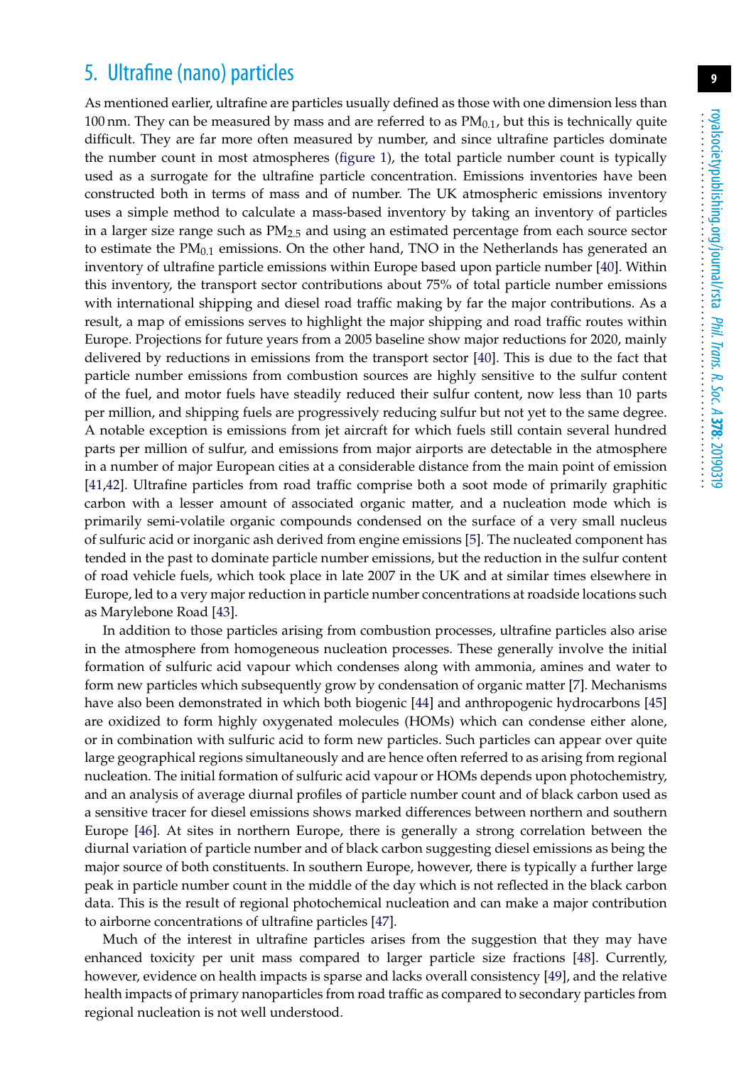#### 5. Ultrafine (nano) particles

As mentioned earlier, ultrafine are particles usually defined as those with one dimension less than 100 nm. They can be measured by mass and are referred to as  $PM<sub>0.1</sub>$ , but this is technically quite difficult. They are far more often measured by number, and since ultrafine particles dominate the number count in most atmospheres [\(figure 1\)](#page-3-0), the total particle number count is typically used as a surrogate for the ultrafine particle concentration. Emissions inventories have been constructed both in terms of mass and of number. The UK atmospheric emissions inventory uses a simple method to calculate a mass-based inventory by taking an inventory of particles in a larger size range such as  $PM_{2.5}$  and using an estimated percentage from each source sector to estimate the  $PM<sub>0.1</sub>$  emissions. On the other hand, TNO in the Netherlands has generated an inventory of ultrafine particle emissions within Europe based upon particle number [\[40\]](#page-12-15). Within this inventory, the transport sector contributions about 75% of total particle number emissions with international shipping and diesel road traffic making by far the major contributions. As a result, a map of emissions serves to highlight the major shipping and road traffic routes within Europe. Projections for future years from a 2005 baseline show major reductions for 2020, mainly delivered by reductions in emissions from the transport sector [\[40\]](#page-12-15). This is due to the fact that particle number emissions from combustion sources are highly sensitive to the sulfur content of the fuel, and motor fuels have steadily reduced their sulfur content, now less than 10 parts per million, and shipping fuels are progressively reducing sulfur but not yet to the same degree. A notable exception is emissions from jet aircraft for which fuels still contain several hundred parts per million of sulfur, and emissions from major airports are detectable in the atmosphere in a number of major European cities at a considerable distance from the main point of emission [\[41](#page-12-16)[,42\]](#page-12-17). Ultrafine particles from road traffic comprise both a soot mode of primarily graphitic carbon with a lesser amount of associated organic matter, and a nucleation mode which is primarily semi-volatile organic compounds condensed on the surface of a very small nucleus of sulfuric acid or inorganic ash derived from engine emissions [\[5\]](#page-11-1). The nucleated component has tended in the past to dominate particle number emissions, but the reduction in the sulfur content of road vehicle fuels, which took place in late 2007 in the UK and at similar times elsewhere in Europe, led to a very major reduction in particle number concentrations at roadside locations such as Marylebone Road [\[43\]](#page-12-18).

In addition to those particles arising from combustion processes, ultrafine particles also arise in the atmosphere from homogeneous nucleation processes. These generally involve the initial formation of sulfuric acid vapour which condenses along with ammonia, amines and water to form new particles which subsequently grow by condensation of organic matter [\[7\]](#page-11-3). Mechanisms have also been demonstrated in which both biogenic [\[44\]](#page-13-0) and anthropogenic hydrocarbons [\[45\]](#page-13-1) are oxidized to form highly oxygenated molecules (HOMs) which can condense either alone, or in combination with sulfuric acid to form new particles. Such particles can appear over quite large geographical regions simultaneously and are hence often referred to as arising from regional nucleation. The initial formation of sulfuric acid vapour or HOMs depends upon photochemistry, and an analysis of average diurnal profiles of particle number count and of black carbon used as a sensitive tracer for diesel emissions shows marked differences between northern and southern Europe [\[46\]](#page-13-2). At sites in northern Europe, there is generally a strong correlation between the diurnal variation of particle number and of black carbon suggesting diesel emissions as being the major source of both constituents. In southern Europe, however, there is typically a further large peak in particle number count in the middle of the day which is not reflected in the black carbon data. This is the result of regional photochemical nucleation and can make a major contribution to airborne concentrations of ultrafine particles [\[47\]](#page-13-3).

Much of the interest in ultrafine particles arises from the suggestion that they may have enhanced toxicity per unit mass compared to larger particle size fractions [\[48\]](#page-13-4). Currently, however, evidence on health impacts is sparse and lacks overall consistency [\[49\]](#page-13-5), and the relative health impacts of primary nanoparticles from road traffic as compared to secondary particles from regional nucleation is not well understood.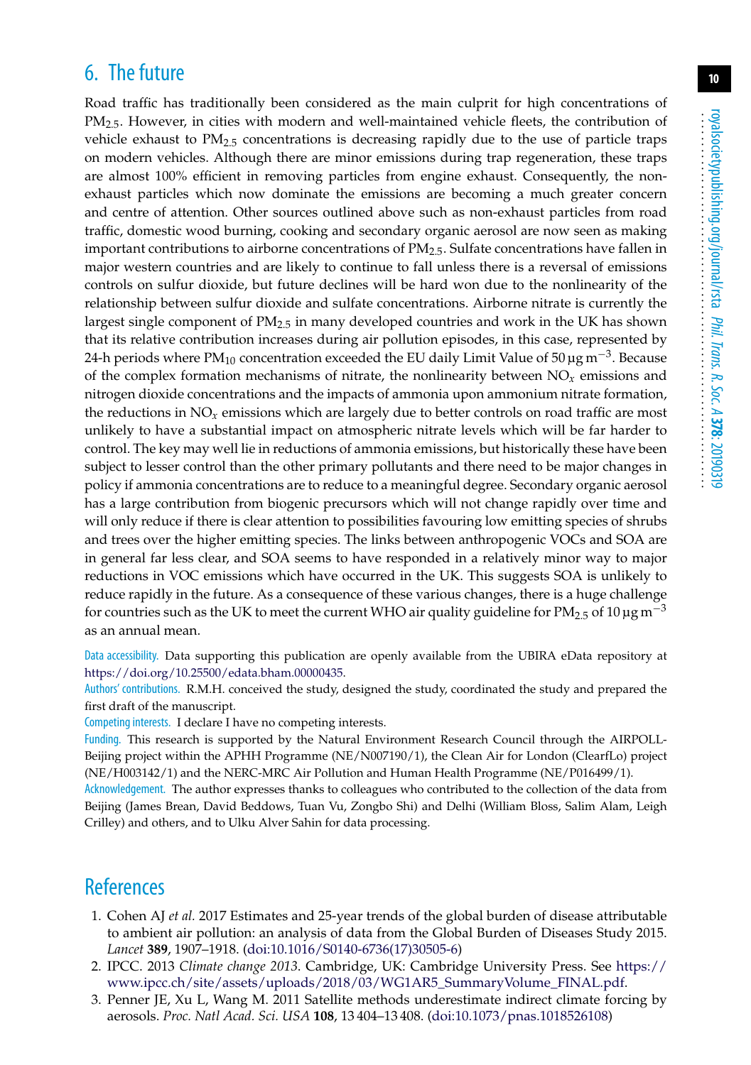#### 6. The future

Road traffic has traditionally been considered as the main culprit for high concentrations of  $PM_{2.5}$ . However, in cities with modern and well-maintained vehicle fleets, the contribution of vehicle exhaust to  $PM<sub>2.5</sub>$  concentrations is decreasing rapidly due to the use of particle traps on modern vehicles. Although there are minor emissions during trap regeneration, these traps are almost 100% efficient in removing particles from engine exhaust. Consequently, the nonexhaust particles which now dominate the emissions are becoming a much greater concern and centre of attention. Other sources outlined above such as non-exhaust particles from road traffic, domestic wood burning, cooking and secondary organic aerosol are now seen as making important contributions to airborne concentrations of  $PM_{2,5}$ . Sulfate concentrations have fallen in major western countries and are likely to continue to fall unless there is a reversal of emissions controls on sulfur dioxide, but future declines will be hard won due to the nonlinearity of the relationship between sulfur dioxide and sulfate concentrations. Airborne nitrate is currently the largest single component of  $PM_2$ <sub>5</sub> in many developed countries and work in the UK has shown that its relative contribution increases during air pollution episodes, in this case, represented by 24-h periods where PM<sub>10</sub> concentration exceeded the EU daily Limit Value of 50 µg m<sup>-3</sup>. Because of the complex formation mechanisms of nitrate, the nonlinearity between  $NO<sub>x</sub>$  emissions and nitrogen dioxide concentrations and the impacts of ammonia upon ammonium nitrate formation, the reductions in NO*x* emissions which are largely due to better controls on road traffic are most unlikely to have a substantial impact on atmospheric nitrate levels which will be far harder to control. The key may well lie in reductions of ammonia emissions, but historically these have been subject to lesser control than the other primary pollutants and there need to be major changes in policy if ammonia concentrations are to reduce to a meaningful degree. Secondary organic aerosol has a large contribution from biogenic precursors which will not change rapidly over time and will only reduce if there is clear attention to possibilities favouring low emitting species of shrubs and trees over the higher emitting species. The links between anthropogenic VOCs and SOA are in general far less clear, and SOA seems to have responded in a relatively minor way to major reductions in VOC emissions which have occurred in the UK. This suggests SOA is unlikely to reduce rapidly in the future. As a consequence of these various changes, there is a huge challenge for countries such as the UK to meet the current WHO air quality guideline for PM<sub>2.5</sub> of 10 µg m<sup>−3</sup> as an annual mean.

Data accessibility. Data supporting this publication are openly available from the UBIRA eData repository at [https://doi.org/10.25500/edata.bham.00000435.](https://doi.org/10.25500/edata.bham.00000435)

Authors' contributions. R.M.H. conceived the study, designed the study, coordinated the study and prepared the first draft of the manuscript.

Competing interests. I declare I have no competing interests.

Funding. This research is supported by the Natural Environment Research Council through the AIRPOLL-Beijing project within the APHH Programme (NE/N007190/1), the Clean Air for London (ClearfLo) project (NE/H003142/1) and the NERC-MRC Air Pollution and Human Health Programme (NE/P016499/1).

Acknowledgement. The author expresses thanks to colleagues who contributed to the collection of the data from Beijing (James Brean, David Beddows, Tuan Vu, Zongbo Shi) and Delhi (William Bloss, Salim Alam, Leigh Crilley) and others, and to Ulku Alver Sahin for data processing.

### <span id="page-10-0"></span>**References**

- 1. Cohen AJ *et al.* 2017 Estimates and 25-year trends of the global burden of disease attributable to ambient air pollution: an analysis of data from the Global Burden of Diseases Study 2015. *Lancet* **389**, 1907–1918. [\(doi:10.1016/S0140-6736\(17\)30505-6\)](http://dx.doi.org/10.1016/S0140-6736(17)30505-6)
- <span id="page-10-1"></span>2. IPCC. 2013 *Climate change 2013*. Cambridge, UK: Cambridge University Press. See [https://](https://www.ipcc.ch/site/assets/uploads/2018/03/WG1AR5_SummaryVolume_FINAL.pdf) [www.ipcc.ch/site/assets/uploads/2018/03/WG1AR5\\_SummaryVolume\\_FINAL.pdf.](https://www.ipcc.ch/site/assets/uploads/2018/03/WG1AR5_SummaryVolume_FINAL.pdf)
- <span id="page-10-2"></span>3. Penner JE, Xu L, Wang M. 2011 Satellite methods underestimate indirect climate forcing by aerosols. *Proc. Natl Acad. Sci. USA* **108**, 13 404–13 408. [\(doi:10.1073/pnas.1018526108\)](http://dx.doi.org/10.1073/pnas.1018526108)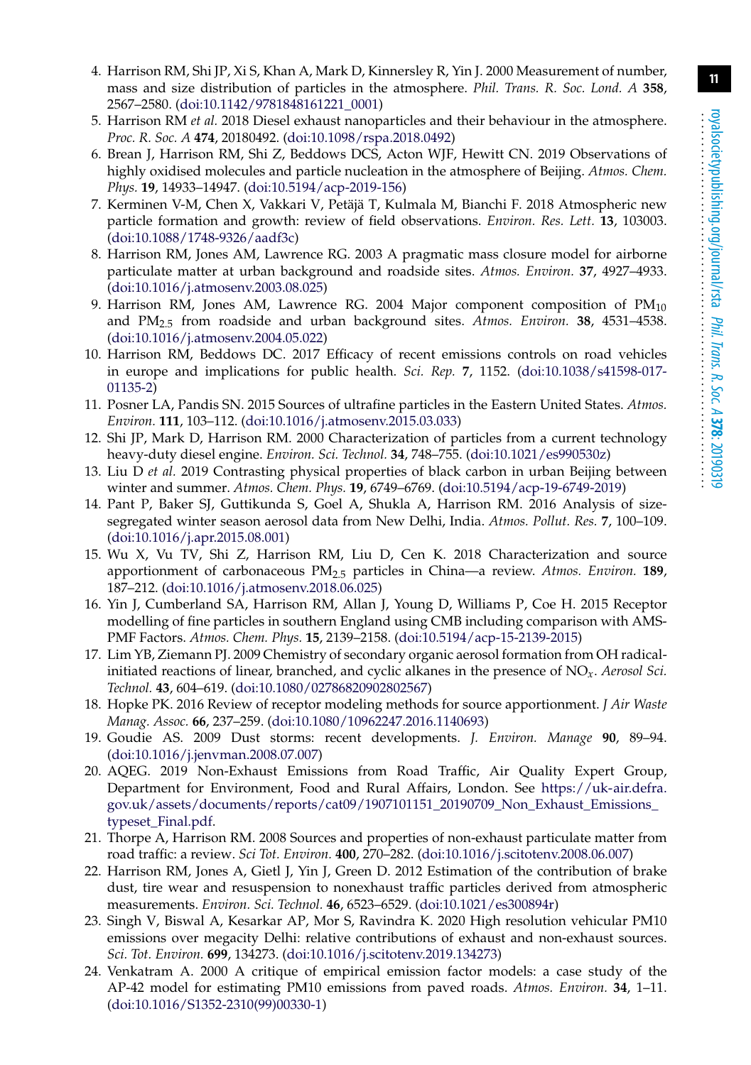- <span id="page-11-0"></span>4. Harrison RM, Shi JP, Xi S, Khan A, Mark D, Kinnersley R, Yin J. 2000 Measurement of number, mass and size distribution of particles in the atmosphere. *Phil. Trans. R. Soc. Lond. A* **358**, 2567–2580. [\(doi:10.1142/9781848161221\\_0001\)](http://dx.doi.org/10.1142/9781848161221_0001)
- <span id="page-11-1"></span>5. Harrison RM *et al.* 2018 Diesel exhaust nanoparticles and their behaviour in the atmosphere. *Proc. R. Soc. A* **474**, 20180492. [\(doi:10.1098/rspa.2018.0492\)](http://dx.doi.org/10.1098/rspa.2018.0492)
- <span id="page-11-2"></span>6. Brean J, Harrison RM, Shi Z, Beddows DCS, Acton WJF, Hewitt CN. 2019 Observations of highly oxidised molecules and particle nucleation in the atmosphere of Beijing. *Atmos. Chem. Phys.* **19**, 14933–14947. [\(doi:10.5194/acp-2019-156\)](http://dx.doi.org/10.5194/acp-2019-156)
- <span id="page-11-3"></span>7. Kerminen V-M, Chen X, Vakkari V, Petäjä T, Kulmala M, Bianchi F. 2018 Atmospheric new particle formation and growth: review of field observations. *Environ. Res. Lett.* **13**, 103003. [\(doi:10.1088/1748-9326/aadf3c\)](http://dx.doi.org/10.1088/1748-9326/aadf3c)
- <span id="page-11-4"></span>8. Harrison RM, Jones AM, Lawrence RG. 2003 A pragmatic mass closure model for airborne particulate matter at urban background and roadside sites. *Atmos. Environ.* **37**, 4927–4933. [\(doi:10.1016/j.atmosenv.2003.08.025\)](http://dx.doi.org/10.1016/j.atmosenv.2003.08.025)
- <span id="page-11-5"></span>9. Harrison RM, Jones AM, Lawrence RG. 2004 Major component composition of  $PM_{10}$ and PM2.5 from roadside and urban background sites. *Atmos. Environ.* **38**, 4531–4538. [\(doi:10.1016/j.atmosenv.2004.05.022\)](http://dx.doi.org/10.1016/j.atmosenv.2004.05.022)
- <span id="page-11-6"></span>10. Harrison RM, Beddows DC. 2017 Efficacy of recent emissions controls on road vehicles in europe and implications for public health. *Sci. Rep.* **7**, 1152. [\(doi:10.1038/s41598-017-](http://dx.doi.org/10.1038/s41598-017-01135-2) [01135-2\)](http://dx.doi.org/10.1038/s41598-017-01135-2)
- <span id="page-11-7"></span>11. Posner LA, Pandis SN. 2015 Sources of ultrafine particles in the Eastern United States. *Atmos. Environ.* **111**, 103–112. [\(doi:10.1016/j.atmosenv.2015.03.033\)](http://dx.doi.org/10.1016/j.atmosenv.2015.03.033)
- <span id="page-11-8"></span>12. Shi JP, Mark D, Harrison RM. 2000 Characterization of particles from a current technology heavy-duty diesel engine. *Environ. Sci. Technol.* **34**, 748–755. [\(doi:10.1021/es990530z\)](http://dx.doi.org/10.1021/es990530z)
- <span id="page-11-9"></span>13. Liu D *et al.* 2019 Contrasting physical properties of black carbon in urban Beijing between winter and summer. *Atmos. Chem. Phys.* **19**, 6749–6769. [\(doi:10.5194/acp-19-6749-2019\)](http://dx.doi.org/10.5194/acp-19-6749-2019)
- <span id="page-11-10"></span>14. Pant P, Baker SJ, Guttikunda S, Goel A, Shukla A, Harrison RM. 2016 Analysis of sizesegregated winter season aerosol data from New Delhi, India. *Atmos. Pollut. Res.* **7**, 100–109. [\(doi:10.1016/j.apr.2015.08.001\)](http://dx.doi.org/10.1016/j.apr.2015.08.001)
- <span id="page-11-11"></span>15. Wu X, Vu TV, Shi Z, Harrison RM, Liu D, Cen K. 2018 Characterization and source apportionment of carbonaceous PM2.5 particles in China—a review. *Atmos. Environ.* **189**, 187–212. [\(doi:10.1016/j.atmosenv.2018.06.025\)](http://dx.doi.org/10.1016/j.atmosenv.2018.06.025)
- <span id="page-11-12"></span>16. Yin J, Cumberland SA, Harrison RM, Allan J, Young D, Williams P, Coe H. 2015 Receptor modelling of fine particles in southern England using CMB including comparison with AMS-PMF Factors. *Atmos. Chem. Phys.* **15**, 2139–2158. [\(doi:10.5194/acp-15-2139-2015\)](http://dx.doi.org/10.5194/acp-15-2139-2015)
- <span id="page-11-13"></span>17. Lim YB, Ziemann PJ. 2009 Chemistry of secondary organic aerosol formation from OH radicalinitiated reactions of linear, branched, and cyclic alkanes in the presence of NO*x*. *Aerosol Sci. Technol.* **43**, 604–619. [\(doi:10.1080/02786820902802567\)](http://dx.doi.org/10.1080/02786820902802567)
- <span id="page-11-14"></span>18. Hopke PK. 2016 Review of receptor modeling methods for source apportionment. *J Air Waste Manag. Assoc.* **66**, 237–259. [\(doi:10.1080/10962247.2016.1140693\)](http://dx.doi.org/10.1080/10962247.2016.1140693)
- <span id="page-11-15"></span>19. Goudie AS. 2009 Dust storms: recent developments. *J. Environ. Manage* **90**, 89–94. [\(doi:10.1016/j.jenvman.2008.07.007\)](http://dx.doi.org/10.1016/j.jenvman.2008.07.007)
- <span id="page-11-16"></span>20. AQEG. 2019 Non-Exhaust Emissions from Road Traffic, Air Quality Expert Group, Department for Environment, Food and Rural Affairs, London. See [https://uk-air.defra.](https://uk-air.defra.gov.uk/assets/documents/reports/cat09/1907101151_20190709_Non_Exhaust_Emissions_typeset_Final.pdf) [gov.uk/assets/documents/reports/cat09/1907101151\\_20190709\\_Non\\_Exhaust\\_Emissions\\_](https://uk-air.defra.gov.uk/assets/documents/reports/cat09/1907101151_20190709_Non_Exhaust_Emissions_typeset_Final.pdf) [typeset\\_Final.pdf.](https://uk-air.defra.gov.uk/assets/documents/reports/cat09/1907101151_20190709_Non_Exhaust_Emissions_typeset_Final.pdf)
- <span id="page-11-17"></span>21. Thorpe A, Harrison RM. 2008 Sources and properties of non-exhaust particulate matter from road traffic: a review. *Sci Tot. Environ.* **400**, 270–282. [\(doi:10.1016/j.scitotenv.2008.06.007\)](http://dx.doi.org/10.1016/j.scitotenv.2008.06.007)
- <span id="page-11-18"></span>22. Harrison RM, Jones A, Gietl J, Yin J, Green D. 2012 Estimation of the contribution of brake dust, tire wear and resuspension to nonexhaust traffic particles derived from atmospheric measurements. *Environ. Sci. Technol.* **46**, 6523–6529. [\(doi:10.1021/es300894r\)](http://dx.doi.org/10.1021/es300894r)
- <span id="page-11-19"></span>23. Singh V, Biswal A, Kesarkar AP, Mor S, Ravindra K. 2020 High resolution vehicular PM10 emissions over megacity Delhi: relative contributions of exhaust and non-exhaust sources. *Sci. Tot. Environ.* **699**, 134273. [\(doi:10.1016/j.scitotenv.2019.134273\)](http://dx.doi.org/10.1016/j.scitotenv.2019.134273)
- <span id="page-11-20"></span>24. Venkatram A. 2000 A critique of empirical emission factor models: a case study of the AP-42 model for estimating PM10 emissions from paved roads. *Atmos. Environ.* **34**, 1–11. [\(doi:10.1016/S1352-2310\(99\)00330-1\)](http://dx.doi.org/10.1016/S1352-2310(99)00330-1)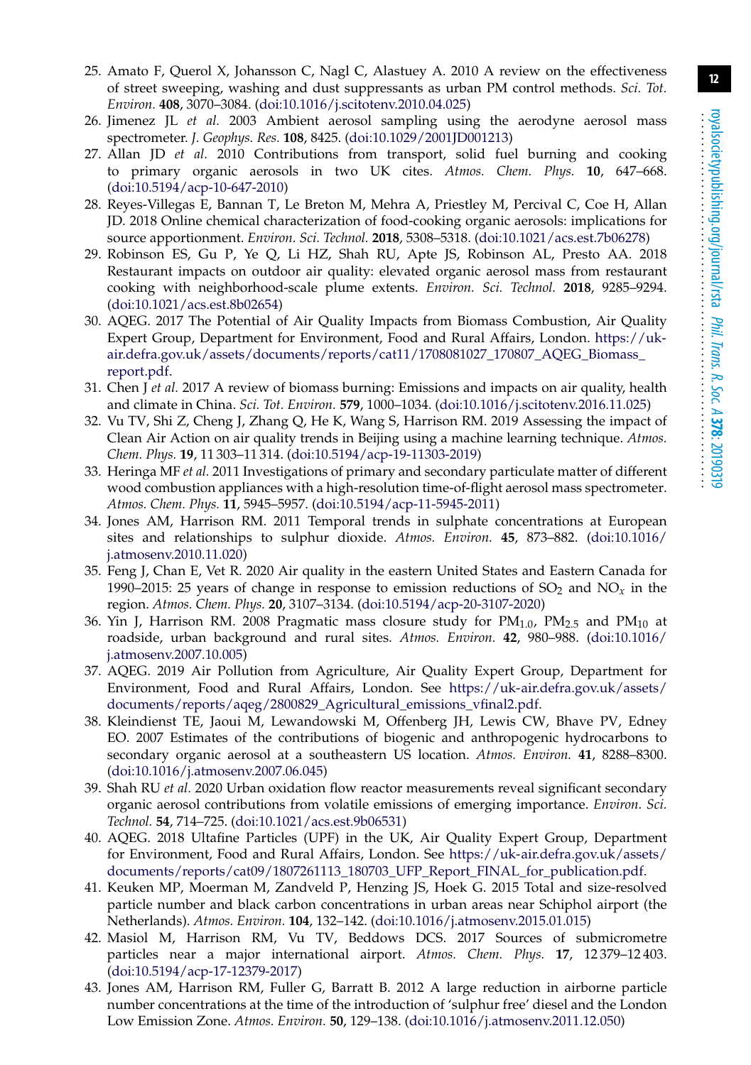- <span id="page-12-0"></span>25. Amato F, Querol X, Johansson C, Nagl C, Alastuey A. 2010 A review on the effectiveness of street sweeping, washing and dust suppressants as urban PM control methods. *Sci. Tot. Environ.* **408**, 3070–3084. [\(doi:10.1016/j.scitotenv.2010.04.025\)](http://dx.doi.org/10.1016/j.scitotenv.2010.04.025)
- <span id="page-12-1"></span>26. Jimenez JL *et al.* 2003 Ambient aerosol sampling using the aerodyne aerosol mass spectrometer. *J. Geophys. Res.* **108**, 8425. [\(doi:10.1029/2001JD001213\)](http://dx.doi.org/10.1029/2001JD001213)
- <span id="page-12-2"></span>27. Allan JD *et al.* 2010 Contributions from transport, solid fuel burning and cooking to primary organic aerosols in two UK cites. *Atmos. Chem. Phys.* **10**, 647–668. [\(doi:10.5194/acp-10-647-2010\)](http://dx.doi.org/10.5194/acp-10-647-2010)
- <span id="page-12-3"></span>28. Reyes-Villegas E, Bannan T, Le Breton M, Mehra A, Priestley M, Percival C, Coe H, Allan JD. 2018 Online chemical characterization of food-cooking organic aerosols: implications for source apportionment. *Environ. Sci. Technol.* **2018**, 5308–5318. [\(doi:10.1021/acs.est.7b06278\)](http://dx.doi.org/10.1021/acs.est.7b06278)
- <span id="page-12-4"></span>29. Robinson ES, Gu P, Ye Q, Li HZ, Shah RU, Apte JS, Robinson AL, Presto AA. 2018 Restaurant impacts on outdoor air quality: elevated organic aerosol mass from restaurant cooking with neighborhood-scale plume extents. *Environ. Sci. Technol.* **2018**, 9285–9294. [\(doi:10.1021/acs.est.8b02654\)](http://dx.doi.org/10.1021/acs.est.8b02654)
- <span id="page-12-5"></span>30. AQEG. 2017 The Potential of Air Quality Impacts from Biomass Combustion, Air Quality Expert Group, Department for Environment, Food and Rural Affairs, London. [https://uk](https://uk-air.defra.gov.uk/assets/documents/reports/cat11/1708081027_170807_AQEG_Biomass_report.pdf)[air.defra.gov.uk/assets/documents/reports/cat11/1708081027\\_170807\\_AQEG\\_Biomass\\_](https://uk-air.defra.gov.uk/assets/documents/reports/cat11/1708081027_170807_AQEG_Biomass_report.pdf) [report.pdf.](https://uk-air.defra.gov.uk/assets/documents/reports/cat11/1708081027_170807_AQEG_Biomass_report.pdf)
- <span id="page-12-6"></span>31. Chen J *et al.* 2017 A review of biomass burning: Emissions and impacts on air quality, health and climate in China. *Sci. Tot. Environ.* **579**, 1000–1034. [\(doi:10.1016/j.scitotenv.2016.11.025\)](http://dx.doi.org/10.1016/j.scitotenv.2016.11.025)
- <span id="page-12-7"></span>32. Vu TV, Shi Z, Cheng J, Zhang Q, He K, Wang S, Harrison RM. 2019 Assessing the impact of Clean Air Action on air quality trends in Beijing using a machine learning technique. *Atmos. Chem. Phys.* **19**, 11 303–11 314. [\(doi:10.5194/acp-19-11303-2019\)](http://dx.doi.org/10.5194/acp-19-11303-2019)
- <span id="page-12-8"></span>33. Heringa MF *et al.* 2011 Investigations of primary and secondary particulate matter of different wood combustion appliances with a high-resolution time-of-flight aerosol mass spectrometer. *Atmos. Chem. Phys.* **11**, 5945–5957. [\(doi:10.5194/acp-11-5945-2011\)](http://dx.doi.org/10.5194/acp-11-5945-2011)
- <span id="page-12-9"></span>34. Jones AM, Harrison RM. 2011 Temporal trends in sulphate concentrations at European sites and relationships to sulphur dioxide. *Atmos. Environ.* **45**, 873–882. [\(doi:10.1016/](http://dx.doi.org/10.1016/j.atmosenv.2010.11.020) [j.atmosenv.2010.11.020\)](http://dx.doi.org/10.1016/j.atmosenv.2010.11.020)
- <span id="page-12-10"></span>35. Feng J, Chan E, Vet R. 2020 Air quality in the eastern United States and Eastern Canada for 1990–2015: 25 years of change in response to emission reductions of  $SO_2$  and  $NO_x$  in the region. *Atmos. Chem. Phys.* **20**, 3107–3134. [\(doi:10.5194/acp-20-3107-2020\)](http://dx.doi.org/10.5194/acp-20-3107-2020)
- <span id="page-12-11"></span>36. Yin J, Harrison RM. 2008 Pragmatic mass closure study for  $PM_{1,0}$ ,  $PM_{2,5}$  and  $PM_{10}$  at roadside, urban background and rural sites. *Atmos. Environ.* **42**, 980–988. [\(doi:10.1016/](http://dx.doi.org/10.1016/j.atmosenv.2007.10.005) [j.atmosenv.2007.10.005\)](http://dx.doi.org/10.1016/j.atmosenv.2007.10.005)
- <span id="page-12-12"></span>37. AQEG. 2019 Air Pollution from Agriculture, Air Quality Expert Group, Department for Environment, Food and Rural Affairs, London. See [https://uk-air.defra.gov.uk/assets/](https://uk-air.defra.gov.uk/assets/documents/reports/aqeg/2800829_Agricultural_emissions_vfinal2.pdf) [documents/reports/aqeg/2800829\\_Agricultural\\_emissions\\_vfinal2.pdf.](https://uk-air.defra.gov.uk/assets/documents/reports/aqeg/2800829_Agricultural_emissions_vfinal2.pdf)
- <span id="page-12-13"></span>38. Kleindienst TE, Jaoui M, Lewandowski M, Offenberg JH, Lewis CW, Bhave PV, Edney EO. 2007 Estimates of the contributions of biogenic and anthropogenic hydrocarbons to secondary organic aerosol at a southeastern US location. *Atmos. Environ.* **41**, 8288–8300. [\(doi:10.1016/j.atmosenv.2007.06.045\)](http://dx.doi.org/10.1016/j.atmosenv.2007.06.045)
- <span id="page-12-14"></span>39. Shah RU *et al.* 2020 Urban oxidation flow reactor measurements reveal significant secondary organic aerosol contributions from volatile emissions of emerging importance. *Environ. Sci. Technol.* **54**, 714–725. [\(doi:10.1021/acs.est.9b06531\)](http://dx.doi.org/10.1021/acs.est.9b06531)
- <span id="page-12-15"></span>40. AQEG. 2018 Ultafine Particles (UPF) in the UK, Air Quality Expert Group, Department for Environment, Food and Rural Affairs, London. See [https://uk-air.defra.gov.uk/assets/](https://uk-air.defra.gov.uk/assets/documents/reports/cat09/1807261113_180703_UFP_Report_FINAL_for_publication.pdf) [documents/reports/cat09/1807261113\\_180703\\_UFP\\_Report\\_FINAL\\_for\\_publication.pdf.](https://uk-air.defra.gov.uk/assets/documents/reports/cat09/1807261113_180703_UFP_Report_FINAL_for_publication.pdf)
- <span id="page-12-16"></span>41. Keuken MP, Moerman M, Zandveld P, Henzing JS, Hoek G. 2015 Total and size-resolved particle number and black carbon concentrations in urban areas near Schiphol airport (the Netherlands). *Atmos. Environ.* **104**, 132–142. [\(doi:10.1016/j.atmosenv.2015.01.015\)](http://dx.doi.org/10.1016/j.atmosenv.2015.01.015)
- <span id="page-12-17"></span>42. Masiol M, Harrison RM, Vu TV, Beddows DCS. 2017 Sources of submicrometre particles near a major international airport. *Atmos. Chem. Phys.* **17**, 12 379–12 403. [\(doi:10.5194/acp-17-12379-2017\)](http://dx.doi.org/10.5194/acp-17-12379-2017)
- <span id="page-12-18"></span>43. Jones AM, Harrison RM, Fuller G, Barratt B. 2012 A large reduction in airborne particle number concentrations at the time of the introduction of 'sulphur free' diesel and the London Low Emission Zone. *Atmos. Environ.* **50**, 129–138. [\(doi:10.1016/j.atmosenv.2011.12.050\)](http://dx.doi.org/10.1016/j.atmosenv.2011.12.050)